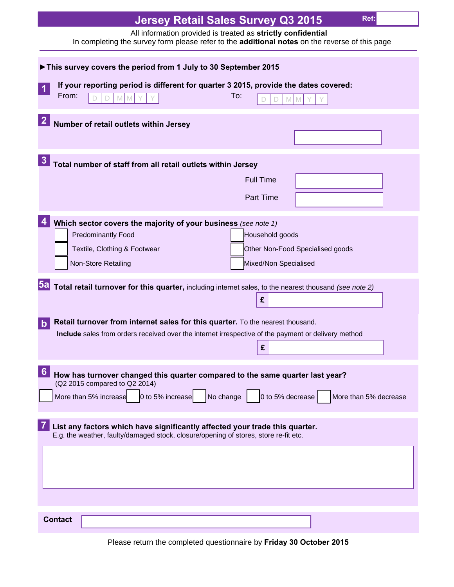| Ref:<br><b>Jersey Retail Sales Survey Q3 2015</b>                                                                                                                                                                                  |
|------------------------------------------------------------------------------------------------------------------------------------------------------------------------------------------------------------------------------------|
| All information provided is treated as strictly confidential<br>In completing the survey form please refer to the <b>additional notes</b> on the reverse of this page                                                              |
| This survey covers the period from 1 July to 30 September 2015                                                                                                                                                                     |
| If your reporting period is different for quarter 3 2015, provide the dates covered:<br>From:<br>To:<br>M<br>M                                                                                                                     |
| Number of retail outlets within Jersey                                                                                                                                                                                             |
| Total number of staff from all retail outlets within Jersey                                                                                                                                                                        |
| <b>Full Time</b><br><b>Part Time</b>                                                                                                                                                                                               |
| Which sector covers the majority of your business (see note 1)<br><b>Predominantly Food</b><br>Household goods<br>Textile, Clothing & Footwear<br>Other Non-Food Specialised goods<br>Non-Store Retailing<br>Mixed/Non Specialised |
| 5a <br>Total retail turnover for this quarter, including internet sales, to the nearest thousand (see note 2)<br>£                                                                                                                 |
| Retail turnover from internet sales for this quarter. To the nearest thousand.<br>Include sales from orders received over the internet irrespective of the payment or delivery method<br>£                                         |
| 6<br>How has turnover changed this quarter compared to the same quarter last year?<br>(Q2 2015 compared to Q2 2014)<br>No change<br>0 to 5% decrease<br>More than 5% increase<br>0 to 5% increase<br>More than 5% decrease         |
| List any factors which have significantly affected your trade this quarter.<br>E.g. the weather, faulty/damaged stock, closure/opening of stores, store re-fit etc.                                                                |
| <b>Contact</b>                                                                                                                                                                                                                     |

Please return the completed questionnaire by **Friday 30 October 2015**